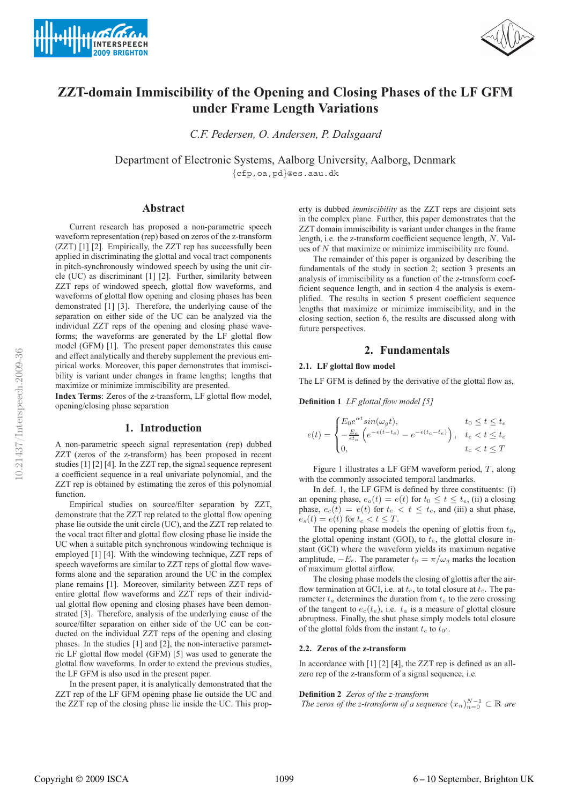



# **ZZT-domain Immiscibility of the Opening and Closing Phases of the LF GFM under Frame Length Variations**

*C.F. Pedersen, O. Andersen, P. Dalsgaard*

Department of Electronic Systems, Aalborg University, Aalborg, Denmark

{cfp,oa,pd}@es.aau.dk

## **Abstract**

Current research has proposed a non-parametric speech waveform representation (rep) based on zeros of the z-transform (ZZT) [1] [2]. Empirically, the ZZT rep has successfully been applied in discriminating the glottal and vocal tract components in pitch-synchronously windowed speech by using the unit circle (UC) as discriminant [1] [2]. Further, similarity between ZZT reps of windowed speech, glottal flow waveforms, and waveforms of glottal flow opening and closing phases has been demonstrated [1] [3]. Therefore, the underlying cause of the separation on either side of the UC can be analyzed via the individual ZZT reps of the opening and closing phase waveforms; the waveforms are generated by the LF glottal flow model (GFM) [1]. The present paper demonstrates this cause and effect analytically and thereby supplement the previous empirical works. Moreover, this paper demonstrates that immiscibility is variant under changes in frame lengths; lengths that maximize or minimize immiscibility are presented.

**Index Terms**: Zeros of the z-transform, LF glottal flow model, opening/closing phase separation

## **1. Introduction**

A non-parametric speech signal representation (rep) dubbed ZZT (zeros of the z-transform) has been proposed in recent studies [1] [2] [4]. In the ZZT rep, the signal sequence represent a coefficient sequence in a real univariate polynomial, and the ZZT rep is obtained by estimating the zeros of this polynomial function.

Empirical studies on source/filter separation by ZZT, demonstrate that the ZZT rep related to the glottal flow opening phase lie outside the unit circle (UC), and the ZZT rep related to the vocal tract filter and glottal flow closing phase lie inside the UC when a suitable pitch synchronous windowing technique is employed [1] [4]. With the windowing technique, ZZT reps of speech waveforms are similar to ZZT reps of glottal flow waveforms alone and the separation around the UC in the complex plane remains [1]. Moreover, similarity between ZZT reps of entire glottal flow waveforms and ZZT reps of their individual glottal flow opening and closing phases have been demonstrated [3]. Therefore, analysis of the underlying cause of the source/filter separation on either side of the UC can be conducted on the individual ZZT reps of the opening and closing phases. In the studies [1] and [2], the non-interactive parametric LF glottal flow model (GFM) [5] was used to generate the glottal flow waveforms. In order to extend the previous studies, the LF GFM is also used in the present paper.

In the present paper, it is analytically demonstrated that the ZZT rep of the LF GFM opening phase lie outside the UC and the ZZT rep of the closing phase lie inside the UC. This prop-

erty is dubbed *immiscibility* as the ZZT reps are disjoint sets in the complex plane. Further, this paper demonstrates that the ZZT domain immiscibility is variant under changes in the frame length, i.e. the z-transform coefficient sequence length, N. Values of N that maximize or minimize immiscibility are found.

The remainder of this paper is organized by describing the fundamentals of the study in section 2; section 3 presents an analysis of immiscibility as a function of the z-transform coefficient sequence length, and in section 4 the analysis is exemplified. The results in section 5 present coefficient sequence lengths that maximize or minimize immiscibility, and in the closing section, section 6, the results are discussed along with future perspectives.

# **2. Fundamentals**

#### **2.1. LF glottal flow model**

The LF GFM is defined by the derivative of the glottal flow as,

**Definition 1** *LF glottal flow model [5]*

$$
e(t) = \begin{cases} E_0 e^{\alpha t} sin(\omega_g t), & t_0 \le t \le t_e \\ -\frac{E_e}{\epsilon t_a} \left( e^{-\epsilon (t - t_e)} - e^{-\epsilon (t_c - t_e)} \right), & t_e < t \le t_c \\ 0, & t_c < t \le T \end{cases}
$$

Figure 1 illustrates a LF GFM waveform period, T, along with the commonly associated temporal landmarks.

In def. 1, the LF GFM is defined by three constituents: (i) an opening phase,  $e_o(t) = e(t)$  for  $t_0 \le t \le t_e$ , (ii) a closing phase,  $e_c(t) = e(t)$  for  $t_e < t \leq t_c$ , and (iii) a shut phase,  $e_s(t) = e(t)$  for  $t_c < t \leq T$ .

The opening phase models the opening of glottis from  $t_0$ , the glottal opening instant (GOI), to  $t_e$ , the glottal closure instant (GCI) where the waveform yields its maximum negative amplitude,  $-E_e$ . The parameter  $t_p = \pi/\omega_q$  marks the location of maximum glottal airflow.

The closing phase models the closing of glottis after the airflow termination at GCI, i.e. at  $t_e$ , to total closure at  $t_c$ . The parameter  $t_a$  determines the duration from  $t_e$  to the zero crossing of the tangent to  $e_c(t_e)$ , i.e.  $t_a$  is a measure of glottal closure abruptness. Finally, the shut phase simply models total closure of the glottal folds from the instant  $t_c$  to  $t_{0'}$ .

#### **2.2. Zeros of the z-transform**

In accordance with [1] [2] [4], the ZZT rep is defined as an allzero rep of the z-transform of a signal sequence, i.e.

#### **Definition 2** *Zeros of the z-transform*

*The zeros of the z-transform of a sequence*  $(x_n)_{n=0}^{N-1} \subset \mathbb{R}$  are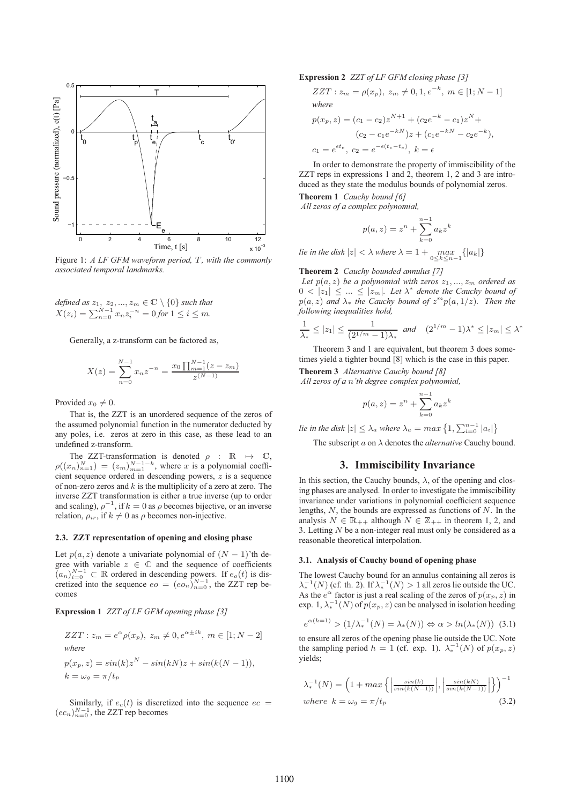

Figure 1: *A LF GFM waveform period,* T*, with the commonly associated temporal landmarks.*

*defined as*  $z_1, z_2, ..., z_m \in \mathbb{C} \setminus \{0\}$  *such that*  $X(z_i) = \sum_{n=0}^{N-1} x_n z_i^{-n} = 0$  for  $1 \le i \le m$ .

Generally, a z-transform can be factored as,

$$
X(z) = \sum_{n=0}^{N-1} x_n z^{-n} = \frac{x_0 \prod_{m=1}^{N-1} (z - z_m)}{z^{(N-1)}}
$$

Provided  $x_0 \neq 0$ .

That is, the ZZT is an unordered sequence of the zeros of the assumed polynomial function in the numerator deducted by any poles, i.e. zeros at zero in this case, as these lead to an undefined z-transform.

The ZZT-transformation is denoted  $\rho$  :  $\mathbb{R} \mapsto \mathbb{C}$ ,  $\rho((x_n)_{n=1}^N) = (z_m)_{m=1}^{N-1-k}$ , where x is a polynomial coefficient sequence ordered in descending powers, z is a sequence of non-zero zeros and  $k$  is the multiplicity of a zero at zero. The inverse ZZT transformation is either a true inverse (up to order and scaling),  $\rho^{-1}$ , if  $k = 0$  as  $\rho$  becomes bijective, or an inverse relation,  $\rho_{ir}$ , if  $k \neq 0$  as  $\rho$  becomes non-injective.

#### **2.3. ZZT representation of opening and closing phase**

Let  $p(a, z)$  denote a univariate polynomial of  $(N - 1)$ 'th degree with variable  $z \in \mathbb{C}$  and the sequence of coefficients  $(a_n)_{i=0}^{N-1}$  ⊂ R ordered in descending powers. If  $e_0(t)$  is discretized into the sequence  $eo = (eo_n)_{n=0}^{N-1}$ , the ZZT rep becomes

**Expression 1** *ZZT of LF GFM opening phase [3]*

$$
ZZT : z_m = e^{\alpha} \rho(x_p), \ z_m \neq 0, e^{\alpha \pm ik}, \ m \in [1; N-2]
$$
  
where  

$$
p(x_p, z) = sin(k)z^N - sin(kN)z + sin(k(N-1)),
$$
  

$$
k = \omega_g = \pi/t_p
$$

Similarly, if  $e_c(t)$  is discretized into the sequence  $ec =$  $(ec_n)_{n=0}^{N-1}$ , the ZZT rep becomes

**Expression 2** *ZZT of LF GFM closing phase [3]*

$$
ZZT : z_m = \rho(x_p), \ z_m \neq 0, 1, e^{-k}, \ m \in [1; N - 1]
$$
  
where

$$
p(x_p, z) = (c_1 - c_2)z^{N+1} + (c_2e^{-k} - c_1)z^N +
$$
  
\n
$$
(c_2 - c_1e^{-kN})z + (c_1e^{-kN} - c_2e^{-k}),
$$
  
\n
$$
c_1 = e^{\epsilon t_e}, c_2 = e^{-\epsilon(t_c - t_e)}, k = \epsilon
$$

In order to demonstrate the property of immiscibility of the ZZT reps in expressions 1 and 2, theorem 1, 2 and 3 are introduced as they state the modulus bounds of polynomial zeros.

**Theorem 1** *Cauchy bound [6] All zeros of a complex polynomial,*

$$
p(a, z) = z^n + \sum_{k=0}^{n-1} a_k z^k
$$

*lie in the disk*  $|z| < \lambda$  *where*  $\lambda = 1 + \max_{0 \le k \le n-1} \{|a_k|\}$ 

**Theorem 2** *Cauchy bounded annulus [7]*

Let  $p(a, z)$  *be a polynomial with zeros*  $z_1, ..., z_m$  *ordered as*  $0 < |z_1| \leq ... \leq |z_m|$ . Let  $\lambda^*$  denote the Cauchy bound of  $p(a, z)$  *and*  $\lambda_*$  *the Cauchy bound of*  $z^m p(a, 1/z)$ *. Then the following inequalities hold,*

$$
\frac{1}{\lambda_*} \le |z_1| \le \frac{1}{(2^{1/m} - 1)\lambda_*} \text{ and } (2^{1/m} - 1)\lambda^* \le |z_m| \le \lambda^*
$$

Theorem 3 and 1 are equivalent, but theorem 3 does sometimes yield a tighter bound [8] which is the case in this paper.

**Theorem 3** *Alternative Cauchy bound [8]*

*All zeros of a* n*'th degree complex polynomial,*

$$
p(a, z) = z^n + \sum_{k=0}^{n-1} a_k z^k
$$

*lie in the disk*  $|z| \leq \lambda_a$  *where*  $\lambda_a = max\left\{1, \sum_{i=0}^{n-1} |a_i|\right\}$ 

The subscript a on λ denotes the *alternative* Cauchy bound.

## **3. Immiscibility Invariance**

In this section, the Cauchy bounds,  $\lambda$ , of the opening and closing phases are analysed. In order to investigate the immiscibility invariance under variations in polynomial coefficient sequence lengths,  $N$ , the bounds are expressed as functions of  $N$ . In the analysis  $N \in \mathbb{R}_{++}$  although  $N \in \mathbb{Z}_{++}$  in theorem 1, 2, and 3. Letting N be a non-integer real must only be considered as a reasonable theoretical interpolation.

## **3.1. Analysis of Cauchy bound of opening phase**

The lowest Cauchy bound for an annulus containing all zeros is  $\lambda_*^{-1}(N)$  (cf. th. 2). If  $\lambda_*^{-1}(N) > 1$  all zeros lie outside the UC. As the  $e^{\alpha}$  factor is just a real scaling of the zeros of  $p(x_p, z)$  in exp. 1,  $\lambda_*^{-1}(N)$  of  $p(x_p, z)$  can be analysed in isolation heeding

$$
e^{\alpha(h=1)} > (1/\lambda_*^{-1}(N) = \lambda_*(N)) \Leftrightarrow \alpha > \ln(\lambda_*(N)) \tag{3.1}
$$

to ensure all zeros of the opening phase lie outside the UC. Note the sampling period  $h = 1$  (cf. exp. 1).  $\lambda_*^{-1}(N)$  of  $p(x_p, z)$ yields;

$$
\lambda_*^{-1}(N) = \left(1 + \max\left\{ \left|\frac{\sin(k)}{\sin(k(N-1))}\right|, \left|\frac{\sin(kN)}{\sin(k(N-1))}\right|\right\} \right)^{-1}
$$
  
where  $k = \omega_g = \pi/t_p$  (3.2)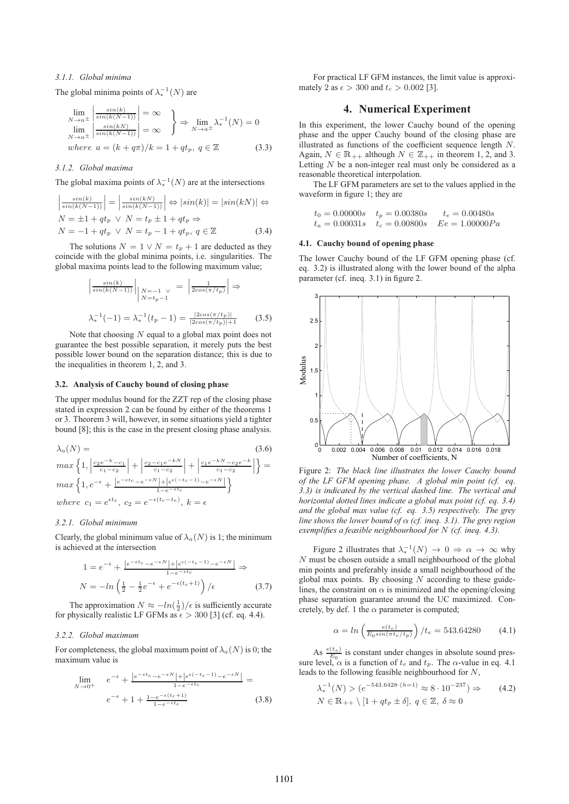## *3.1.1. Global minima*

The global minima points of  $\lambda_*^{-1}(N)$  are

$$
\lim_{N \to a^{\pm}} \left| \frac{\sin(k)}{\sin(k(N-1))} \right| = \infty \}
$$
\n
$$
\lim_{N \to a^{\pm}} \left| \frac{\sin(kN)}{\sin(k(N-1))} \right| = \infty \right\} \Rightarrow \lim_{N \to a^{\pm}} \lambda_*^{-1}(N) = 0
$$
\nwhere  $a = (k + q\pi)/k = 1 + qt_p, q \in \mathbb{Z}$  (3.3)

## *3.1.2. Global maxima*

The global maxima points of  $\lambda_*^{-1}(N)$  are at the intersections

$$
\left|\frac{\sin(k)}{\sin(k(N-1))}\right| = \left|\frac{\sin(kN)}{\sin(k(N-1))}\right| \Leftrightarrow |\sin(k)| = |\sin(k) \Leftrightarrow N = \pm 1 + qt_p \vee N = t_p \pm 1 + qt_p \Rightarrow
$$
  

$$
N = -1 + qt_p \vee N = t_p - 1 + qt_p, q \in \mathbb{Z}
$$
(3.4)

The solutions  $N = 1 \vee N = t_p + 1$  are deducted as they coincide with the global minima points, i.e. singularities. The global maxima points lead to the following maximum value;

$$
\left| \frac{\sin(k)}{\sin(k(N-1))} \right|_{N=-1 \ V} = \left| \frac{1}{2\cos(\pi/t_p)} \right| \Rightarrow
$$
  

$$
\lambda_*^{-1}(-1) = \lambda_*^{-1}(t_p - 1) = \frac{|2\cos(\pi/t_p)|}{|2\cos(\pi/t_p)|+1}
$$
(3.5)

Note that choosing  $N$  equal to a global max point does not guarantee the best possible separation, it merely puts the best possible lower bound on the separation distance; this is due to the inequalities in theorem 1, 2, and 3.

#### **3.2. Analysis of Cauchy bound of closing phase**

The upper modulus bound for the ZZT rep of the closing phase stated in expression 2 can be found by either of the theorems 1 or 3. Theorem 3 will, however, in some situations yield a tighter bound [8]; this is the case in the present closing phase analysis.

$$
\lambda_a(N) =
$$
\n
$$
max\left\{1, \left|\frac{c_2e^{-k}-c_1}{c_1-c_2}\right| + \left|\frac{c_2-c_1e^{-kN}}{c_1-c_2}\right| + \left|\frac{c_1e^{-kN}-c_2e^{-k}}{c_1-c_2}\right|\right\} =
$$
\n
$$
max\left\{1, e^{-\epsilon} + \frac{|e^{-\epsilon t}c-e^{-\epsilon N}| + |e^{\epsilon(-t_c-1)}-e^{-\epsilon N}|}{1-e^{-\epsilon t_c}}\right\}
$$
\nwhere  $c_1 = e^{\epsilon t_c}, c_2 = e^{-\epsilon(t_c-t_c)}, k = \epsilon$ 

#### *3.2.1. Global minimum*

Clearly, the global minimum value of  $\lambda_a(N)$  is 1; the minimum is achieved at the intersection

$$
1 = e^{-\epsilon} + \frac{|e^{-\epsilon t_c} - e^{-\epsilon N}| + |e^{\epsilon(-t_c - 1)} - e^{-\epsilon N}|}{1 - e^{-\epsilon t_c}}
$$
  

$$
N = -\ln\left(\frac{1}{2} - \frac{1}{2}e^{-\epsilon} + e^{-\epsilon(t_c + 1)}\right) / \epsilon
$$
(3.7)

The approximation  $N \approx -ln(\frac{1}{2})/\epsilon$  is sufficiently accurate for physically realistic LF GFMs as  $\epsilon > 300$  [3] (cf. eq. 4.4).

#### *3.2.2. Global maximum*

For completeness, the global maximum point of  $\lambda_a(N)$  is 0; the maximum value is

$$
\lim_{N \to 0^+} e^{-\epsilon} + \frac{|e^{-\epsilon t c} - e^{-\epsilon N}| + |e^{\epsilon(-t_c - 1)} - e^{-\epsilon N}|}{1 - e^{-\epsilon t_c}} =
$$
\n
$$
e^{-\epsilon} + 1 + \frac{1 - e^{-\epsilon(t_c + 1)}}{1 - e^{-\epsilon t_c}} \tag{3.8}
$$

For practical LF GFM instances, the limit value is approximately 2 as  $\epsilon > 300$  and  $t_c > 0.002$  [3].

# **4. Numerical Experiment**

In this experiment, the lower Cauchy bound of the opening phase and the upper Cauchy bound of the closing phase are illustrated as functions of the coefficient sequence length N. Again,  $N \in \mathbb{R}_{++}$  although  $N \in \mathbb{Z}_{++}$  in theorem 1, 2, and 3. Letting  $N$  be a non-integer real must only be considered as a reasonable theoretical interpolation.

The LF GFM parameters are set to the values applied in the waveform in figure 1; they are

$$
t_0 = 0.00000s
$$
  $t_p = 0.00380s$   $t_e = 0.00480s$   
\n $t_a = 0.00031s$   $t_c = 0.00800s$   $Ee = 1.00000Pa$ 

#### **4.1. Cauchy bound of opening phase**

The lower Cauchy bound of the LF GFM opening phase (cf. eq. 3.2) is illustrated along with the lower bound of the alpha parameter (cf. ineq. 3.1) in figure 2.



Figure 2: *The black line illustrates the lower Cauchy bound of the LF GFM opening phase. A global min point (cf. eq. 3.3) is indicated by the vertical dashed line. The vertical and horizontal dotted lines indicate a global max point (cf. eq. 3.4) and the global max value (cf. eq. 3.5) respectively. The grey line shows the lower bound of* α *(cf. ineq. 3.1). The grey region exemplifies a feasible neighbourhood for* N *(cf. ineq. 4.3).*

Figure 2 illustrates that  $\lambda_*^{-1}(N) \to 0 \Rightarrow \alpha \to \infty$  why N must be chosen outside a small neighbourhood of the global min points and preferably inside a small neighbourhood of the global max points. By choosing  $N$  according to these guidelines, the constraint on  $\alpha$  is minimized and the opening/closing phase separation guarantee around the UC maximized. Concretely, by def. 1 the  $\alpha$  parameter is computed;

$$
\alpha = \ln \left( \frac{e(t_e)}{E_0 \sin(\pi t_e / t_p)} \right) / t_e = 543.64280 \tag{4.1}
$$

As  $\frac{e(t_e)}{F_0}$  is constant under changes in absolute sound pressure level,  $\alpha$  is a function of  $t_e$  and  $\check{t}_p$ . The  $\alpha$ -value in eq. 4.1 leads to the following feasible neighbourhood for N,

$$
\lambda_*^{-1}(N) > (e^{-543.6428 \cdot (h=1)} \approx 8 \cdot 10^{-237}) \Rightarrow
$$
  
 
$$
N \in \mathbb{R}_{++} \setminus [1 + qt_p \pm \delta], q \in \mathbb{Z}, \delta \approx 0
$$
 (4.2)